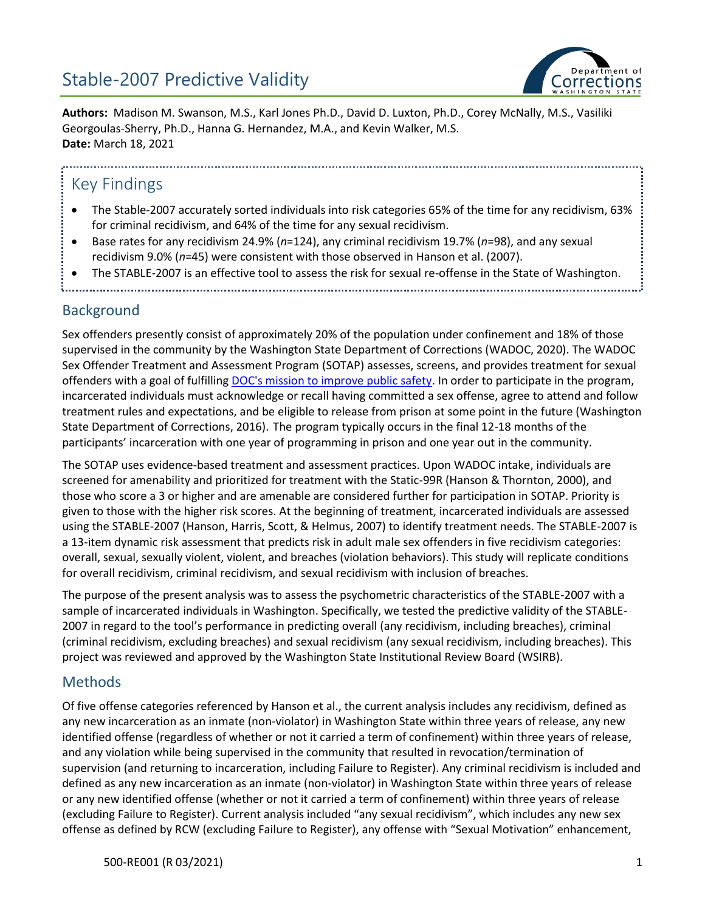

**Authors:** Madison M. Swanson, M.S., Karl Jones Ph.D., David D. Luxton, Ph.D., Corey McNally, M.S., Vasiliki Georgoulas-Sherry, Ph.D., Hanna G. Hernandez, M.A., and Kevin Walker, M.S. **Date:** March 18, 2021

### Key Findings

- The Stable-2007 accurately sorted individuals into risk categories 65% of the time for any recidivism, 63% for criminal recidivism, and 64% of the time for any sexual recidivism.
- Base rates for any recidivism 24.9% (*n*=124), any criminal recidivism 19.7% (*n*=98), and any sexual recidivism 9.0% (*n*=45) were consistent with those observed in Hanson et al. (2007).
- The STABLE-2007 is an effective tool to assess the risk for sexual re-offense in the State of Washington.

### Background

Sex offenders presently consist of approximately 20% of the population under confinement and 18% of those supervised in the community by the Washington State Department of Corrections (WADOC, 2020). The WADOC Sex Offender Treatment and Assessment Program (SOTAP) assesses, screens, and provides treatment for sexual offenders with a goal of fulfilling [DOC's mission to improve public safety.](https://www.doc.wa.gov/about/agency/mission.htm) In order to participate in the program, incarcerated individuals must acknowledge or recall having committed a sex offense, agree to attend and follow treatment rules and expectations, and be eligible to release from prison at some point in the future (Washington State Department of Corrections, 2016). The program typically occurs in the final 12-18 months of the participants' incarceration with one year of programming in prison and one year out in the community.

The SOTAP uses evidence-based treatment and assessment practices. Upon WADOC intake, individuals are screened for amenability and prioritized for treatment with the Static-99R (Hanson & Thornton, 2000), and those who score a 3 or higher and are amenable are considered further for participation in SOTAP. Priority is given to those with the higher risk scores. At the beginning of treatment, incarcerated individuals are assessed using the STABLE-2007 (Hanson, Harris, Scott, & Helmus, 2007) to identify treatment needs. The STABLE-2007 is a 13-item dynamic risk assessment that predicts risk in adult male sex offenders in five recidivism categories: overall, sexual, sexually violent, violent, and breaches (violation behaviors). This study will replicate conditions for overall recidivism, criminal recidivism, and sexual recidivism with inclusion of breaches.

The purpose of the present analysis was to assess the psychometric characteristics of the STABLE-2007 with a sample of incarcerated individuals in Washington. Specifically, we tested the predictive validity of the STABLE-2007 in regard to the tool's performance in predicting overall (any recidivism, including breaches), criminal (criminal recidivism, excluding breaches) and sexual recidivism (any sexual recidivism, including breaches). This project was reviewed and approved by the Washington State Institutional Review Board (WSIRB).

### Methods

Of five offense categories referenced by Hanson et al., the current analysis includes any recidivism, defined as any new incarceration as an inmate (non-violator) in Washington State within three years of release, any new identified offense (regardless of whether or not it carried a term of confinement) within three years of release, and any violation while being supervised in the community that resulted in revocation/termination of supervision (and returning to incarceration, including Failure to Register). Any criminal recidivism is included and defined as any new incarceration as an inmate (non-violator) in Washington State within three years of release or any new identified offense (whether or not it carried a term of confinement) within three years of release (excluding Failure to Register). Current analysis included "any sexual recidivism", which includes any new sex offense as defined by RCW (excluding Failure to Register), any offense with "Sexual Motivation" enhancement,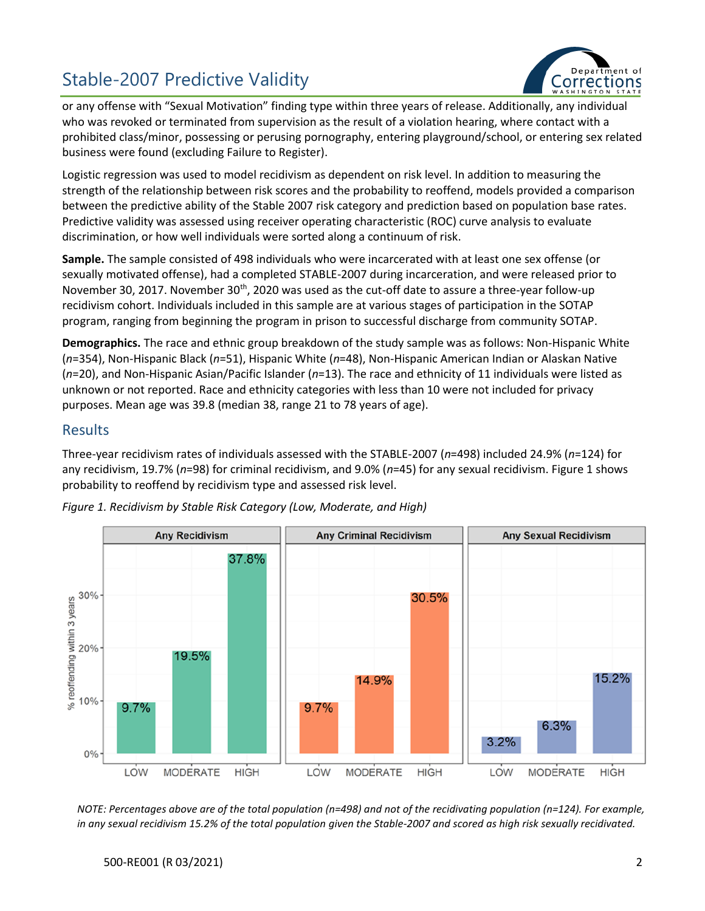

or any offense with "Sexual Motivation" finding type within three years of release. Additionally, any individual who was revoked or terminated from supervision as the result of a violation hearing, where contact with a prohibited class/minor, possessing or perusing pornography, entering playground/school, or entering sex related business were found (excluding Failure to Register).

Logistic regression was used to model recidivism as dependent on risk level. In addition to measuring the strength of the relationship between risk scores and the probability to reoffend, models provided a comparison between the predictive ability of the Stable 2007 risk category and prediction based on population base rates. Predictive validity was assessed using receiver operating characteristic (ROC) curve analysis to evaluate discrimination, or how well individuals were sorted along a continuum of risk.

**Sample.** The sample consisted of 498 individuals who were incarcerated with at least one sex offense (or sexually motivated offense), had a completed STABLE-2007 during incarceration, and were released prior to November 30, 2017. November 30<sup>th</sup>, 2020 was used as the cut-off date to assure a three-year follow-up recidivism cohort. Individuals included in this sample are at various stages of participation in the SOTAP program, ranging from beginning the program in prison to successful discharge from community SOTAP.

**Demographics.** The race and ethnic group breakdown of the study sample was as follows: Non-Hispanic White (*n*=354), Non-Hispanic Black (*n*=51), Hispanic White (*n*=48), Non-Hispanic American Indian or Alaskan Native (*n*=20), and Non-Hispanic Asian/Pacific Islander (*n*=13). The race and ethnicity of 11 individuals were listed as unknown or not reported. Race and ethnicity categories with less than 10 were not included for privacy purposes. Mean age was 39.8 (median 38, range 21 to 78 years of age).

#### Results

Three-year recidivism rates of individuals assessed with the STABLE-2007 (*n*=498) included 24.9% (*n*=124) for any recidivism, 19.7% (*n*=98) for criminal recidivism, and 9.0% (*n*=45) for any sexual recidivism. Figure 1 shows probability to reoffend by recidivism type and assessed risk level.



*Figure 1. Recidivism by Stable Risk Category (Low, Moderate, and High)* 

*NOTE: Percentages above are of the total population (n=498) and not of the recidivating population (n=124). For example, in any sexual recidivism 15.2% of the total population given the Stable-2007 and scored as high risk sexually recidivated.*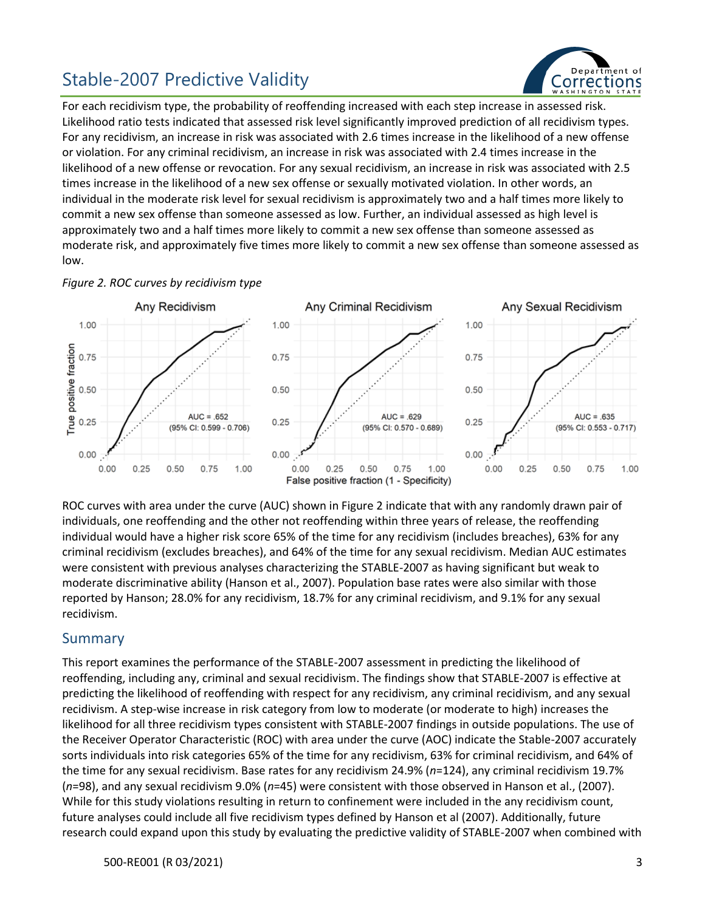

For each recidivism type, the probability of reoffending increased with each step increase in assessed risk. Likelihood ratio tests indicated that assessed risk level significantly improved prediction of all recidivism types. For any recidivism, an increase in risk was associated with 2.6 times increase in the likelihood of a new offense or violation. For any criminal recidivism, an increase in risk was associated with 2.4 times increase in the likelihood of a new offense or revocation. For any sexual recidivism, an increase in risk was associated with 2.5 times increase in the likelihood of a new sex offense or sexually motivated violation. In other words, an individual in the moderate risk level for sexual recidivism is approximately two and a half times more likely to commit a new sex offense than someone assessed as low. Further, an individual assessed as high level is approximately two and a half times more likely to commit a new sex offense than someone assessed as moderate risk, and approximately five times more likely to commit a new sex offense than someone assessed as low.

#### *Figure 2. ROC curves by recidivism type*



ROC curves with area under the curve (AUC) shown in Figure 2 indicate that with any randomly drawn pair of individuals, one reoffending and the other not reoffending within three years of release, the reoffending individual would have a higher risk score 65% of the time for any recidivism (includes breaches), 63% for any criminal recidivism (excludes breaches), and 64% of the time for any sexual recidivism. Median AUC estimates were consistent with previous analyses characterizing the STABLE-2007 as having significant but weak to moderate discriminative ability (Hanson et al., 2007). Population base rates were also similar with those reported by Hanson; 28.0% for any recidivism, 18.7% for any criminal recidivism, and 9.1% for any sexual recidivism.

#### Summary

This report examines the performance of the STABLE-2007 assessment in predicting the likelihood of reoffending, including any, criminal and sexual recidivism. The findings show that STABLE-2007 is effective at predicting the likelihood of reoffending with respect for any recidivism, any criminal recidivism, and any sexual recidivism. A step-wise increase in risk category from low to moderate (or moderate to high) increases the likelihood for all three recidivism types consistent with STABLE-2007 findings in outside populations. The use of the Receiver Operator Characteristic (ROC) with area under the curve (AOC) indicate the Stable-2007 accurately sorts individuals into risk categories 65% of the time for any recidivism, 63% for criminal recidivism, and 64% of the time for any sexual recidivism. Base rates for any recidivism 24.9% (*n*=124), any criminal recidivism 19.7% (*n*=98), and any sexual recidivism 9.0% (*n*=45) were consistent with those observed in Hanson et al., (2007). While for this study violations resulting in return to confinement were included in the any recidivism count, future analyses could include all five recidivism types defined by Hanson et al (2007). Additionally, future research could expand upon this study by evaluating the predictive validity of STABLE-2007 when combined with